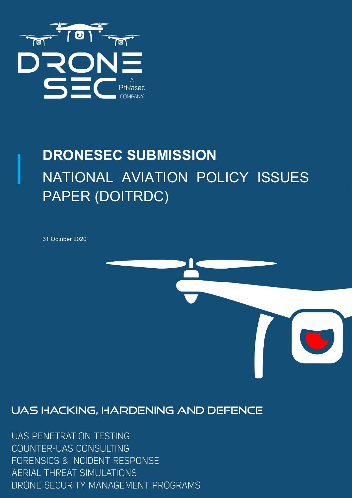

# DRONESEC SUBMISSION NATIONAL AVIATION POLICY ISSUES PAPER (DOITRDC)

31 October 2020



### UAS HACKING, HARDENING AND DEFENCE

**UAS PENETRATION TESTING** COUNTER-UAS CONSULTING FORENSICS & INCIDENT RESPONSE **AERIAL THREAT SIMULATIONS** DRONE SECURITY MANAGEMENT PROGRAMS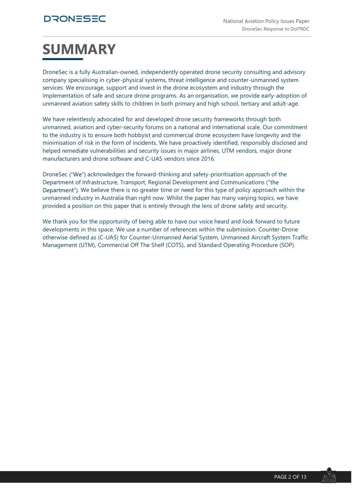## SUMMARY

DroneSec is a fully Australian-owned, independently operated drone security consulting and advisory company specialising in cyber-physical systems, threat intelligence and counter-unmanned system services. We encourage, support and invest in the drone ecosystem and industry through the implementation of safe and secure drone programs. As an organisation, we provide early-adoption of unmanned aviation safety skills to children in both primary and high school, tertiary and adult-age.

We have relentlessly advocated for and developed drone security frameworks through both unmanned, aviation and cyber-security forums on a national and international scale. Our commitment to the industry is to ensure both hobbyist and commercial drone ecosystem have longevity and the minimisation of risk in the form of incidents. We have proactively identified, responsibly disclosed and helped remediate vulnerabilities and security issues in major airlines, UTM vendors, major drone manufacturers and drone software and C-UAS vendors since 2016.

DroneSec ("We") acknowledges the forward-thinking and safety-prioritisation approach of the Department of Infrastructure, Transport, Regional Development and Communications ( Department"). We believe there is no greater time or need for this type of policy approach within the unmanned industry in Australia than right now. Whilst the paper has many varying topics, we have provided a position on this paper that is entirely through the lens of drone safety and security.

We thank you for the opportunity of being able to have our voice heard and look forward to future developments in this space. We use a number of references within the submission. Counter-Drone otherwise defined as (C-UAS) for Counter-Unmanned Aerial System, Unmanned Aircraft System Traffic Management (UTM), Commercial Off The Shelf (COTS), and Standard Operating Procedure (SOP).

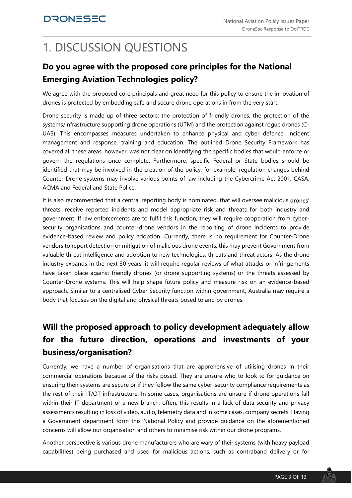## 1. DISCUSSION QUESTIONS

#### Do you agree with the proposed core principles for the National Emerging Aviation Technologies policy?

We agree with the proposed core principals and great need for this policy to ensure the innovation of drones is protected by embedding safe and secure drone operations in from the very start.

Drone security is made up of three sectors; the protection of friendly drones, the protection of the systems/infrastructure supporting drone operations (UTM) and the protection against rogue drones (C-UAS). This encompasses measures undertaken to enhance physical and cyber defence, incident management and response, training and education. The outlined Drone Security Framework has covered all these areas, however, was not clear on identifying the specific bodies that would enforce or govern the regulations once complete. Furthermore, specific Federal or State bodies should be identified that may be involved in the creation of the policy; for example, regulation changes behind Counter-Drone systems may involve various points of law including the Cybercrime Act 2001, CASA, ACMA and Federal and State Police.

It is also recommended that a central reporting body is nominated, that will oversee malicious drones' threats, receive reported incidents and model appropriate risk and threats for both industry and government. If law enforcements are to fulfil this function, they will require cooperation from cybersecurity organisations and counter-drone vendors in the reporting of drone incidents to provide evidence-based review and policy adoption. Currently, there is no requirement for Counter-Drone vendors to report detection or mitigation of malicious drone events; this may prevent Government from valuable threat intelligence and adoption to new technologies, threats and threat actors. As the drone industry expands in the next 30 years, it will require regular reviews of what attacks or infringements have taken place against friendly drones (or drone supporting systems) or the threats assessed by Counter-Drone systems. This will help shape future policy and measure risk on an evidence-based approach. Similar to a centralised Cyber Security function within government, Australia may require a body that focuses on the digital and physical threats posed to and by drones.

### Will the proposed approach to policy development adequately allow for the future direction, operations and investments of your business/organisation?

Currently, we have a number of organisations that are apprehensive of utilising drones in their commercial operations because of the risks posed. They are unsure who to look to for guidance on ensuring their systems are secure or if they follow the same cyber-security compliance requirements as the rest of their IT/OT infrastructure. In some cases, organisations are unsure if drone operations fall within their IT department or a new branch; often, this results in a lack of data security and privacy assessments resulting in loss of video, audio, telemetry data and in some cases, company secrets. Having a Government department form this National Policy and provide guidance on the aforementioned concerns will allow our organisation and others to minimise risk within our drone programs.

Another perspective is various drone manufacturers who are wary of their systems (with heavy payload capabilities) being purchased and used for malicious actions, such as contraband delivery or for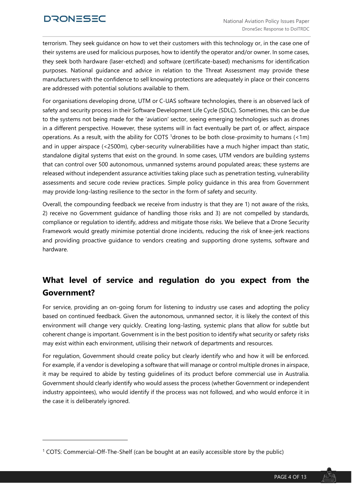DRONESEC<br>
National Aviation Policy Issues Paper<br>
DroneSec Response to DolTRDC<br>
terrorism. They seek guidance on how to vet their customers with this technology or, in the case one of<br>
their systems are used for malicious p their systems are used for malicious purposes, how to identify the operator and/or owner. In some cases, they seek both hardware (laser-etched) and software (certificate-based) mechanisms for identification purposes. National guidance and advice in relation to the Threat Assessment may provide these manufacturers with the confidence to sell knowing protections are adequately in place or their concerns are addressed with potential solutions available to them.

For organisations developing drone, UTM or C-UAS software technologies, there is an observed lack of safety and security process in their Software Development Life Cycle (SDLC). Sometimes, this can be due to the systems not being made for the 'aviation' sector, seeing emerging technologies such as drones in a different perspective. However, these systems will in fact eventually be part of, or affect, airspace operations. As a result, with the ability for COTS 1drones to be both close-proximity to humans (<1m) and in upper airspace (<2500m), cyber-security vulnerabilities have a much higher impact than static, standalone digital systems that exist on the ground. In some cases, UTM vendors are building systems that can control over 500 autonomous, unmanned systems around populated areas; these systems are released without independent assurance activities taking place such as penetration testing, vulnerability assessments and secure code review practices. Simple policy guidance in this area from Government may provide long-lasting resilience to the sector in the form of safety and security.

Overall, the compounding feedback we receive from industry is that they are 1) not aware of the risks, 2) receive no Government guidance of handling those risks and 3) are not compelled by standards, compliance or regulation to identify, address and mitigate those risks. We believe that a Drone Security Framework would greatly minimise potential drone incidents, reducing the risk of knee-jerk reactions and providing proactive guidance to vendors creating and supporting drone systems, software and hardware.

#### What level of service and regulation do you expect from the Government?

For service, providing an on-going forum for listening to industry use cases and adopting the policy based on continued feedback. Given the autonomous, unmanned sector, it is likely the context of this environment will change very quickly. Creating long-lasting, systemic plans that allow for subtle but coherent change is important. Government is in the best position to identify what security or safety risks may exist within each environment, utilising their network of departments and resources.

For regulation, Government should create policy but clearly identify who and how it will be enforced. For example, if a vendor is developing a software that will manage or control multiple drones in airspace, it may be required to abide by testing guidelines of its product before commercial use in Australia. Government should clearly identify who would assess the process (whether Government or independent industry appointees), who would identify if the process was not followed, and who would enforce it in the case it is deliberately ignored.

<sup>1</sup> COTS: Commercial-Off-The-Shelf (can be bought at an easily accessible store by the public)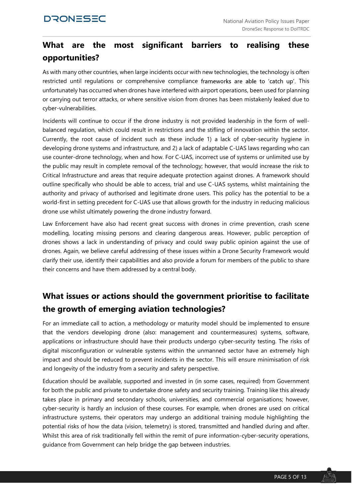#### What are the most significant barriers to realising these opportunities?

As with many other countries, when large incidents occur with new technologies, the technology is often restricted until regulations or comprehensive compliance frameworks are able to 'catch up'. This unfortunately has occurred when drones have interfered with airport operations, been used for planning or carrying out terror attacks, or where sensitive vision from drones has been mistakenly leaked due to cyber-vulnerabilities.

Incidents will continue to occur if the drone industry is not provided leadership in the form of wellbalanced regulation, which could result in restrictions and the stifling of innovation within the sector. Currently, the root cause of incident such as these include 1) a lack of cyber-security hygiene in developing drone systems and infrastructure, and 2) a lack of adaptable C-UAS laws regarding who can use counter-drone technology, when and how. For C-UAS, incorrect use of systems or unlimited use by the public may result in complete removal of the technology; however, that would increase the risk to Critical Infrastructure and areas that require adequate protection against drones. A framework should outline specifically who should be able to access, trial and use C-UAS systems, whilst maintaining the authority and privacy of authorised and legitimate drone users. This policy has the potential to be a world-first in setting precedent for C-UAS use that allows growth for the industry in reducing malicious drone use whilst ultimately powering the drone industry forward.

Law Enforcement have also had recent great success with drones in crime prevention, crash scene modelling, locating missing persons and clearing dangerous areas. However, public perception of drones shows a lack in understanding of privacy and could sway public opinion against the use of drones. Again, we believe careful addressing of these issues within a Drone Security Framework would clarify their use, identify their capabilities and also provide a forum for members of the public to share their concerns and have them addressed by a central body.

#### What issues or actions should the government prioritise to facilitate the growth of emerging aviation technologies?

For an immediate call to action, a methodology or maturity model should be implemented to ensure that the vendors developing drone (also: management and countermeasures) systems, software, applications or infrastructure should have their products undergo cyber-security testing. The risks of digital misconfiguration or vulnerable systems within the unmanned sector have an extremely high impact and should be reduced to prevent incidents in the sector. This will ensure minimisation of risk and longevity of the industry from a security and safety perspective.

Education should be available, supported and invested in (in some cases, required) from Government for both the public and private to undertake drone safety and security training. Training like this already takes place in primary and secondary schools, universities, and commercial organisations; however, cyber-security is hardly an inclusion of these courses. For example, when drones are used on critical infrastructure systems, their operators may undergo an additional training module highlighting the potential risks of how the data (vision, telemetry) is stored, transmitted and handled during and after. Whilst this area of risk traditionally fell within the remit of pure information-cyber-security operations, guidance from Government can help bridge the gap between industries.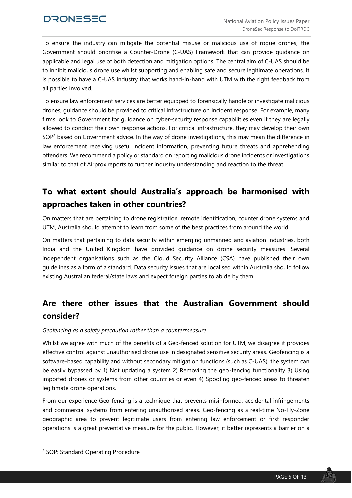#### **DRONESEC**

To ensure the industry can mitigate the potential misuse or malicious use of rogue drones, the Government should prioritise a Counter-Drone (C-UAS) Framework that can provide guidance on applicable and legal use of both detection and mitigation options. The central aim of C-UAS should be to inhibit malicious drone use whilst supporting and enabling safe and secure legitimate operations. It is possible to have a C-UAS industry that works hand-in-hand with UTM with the right feedback from all parties involved.

To ensure law enforcement services are better equipped to forensically handle or investigate malicious drones, guidance should be provided to critical infrastructure on incident response. For example, many firms look to Government for guidance on cyber-security response capabilities even if they are legally allowed to conduct their own response actions. For critical infrastructure, they may develop their own SOP<sup>2</sup> based on Government advice. In the way of drone investigations, this may mean the difference in law enforcement receiving useful incident information, preventing future threats and apprehending offenders. We recommend a policy or standard on reporting malicious drone incidents or investigations similar to that of Airprox reports to further industry understanding and reaction to the threat.

#### To what extent should Australia's approach be harmonised with approaches taken in other countries?

On matters that are pertaining to drone registration, remote identification, counter drone systems and UTM, Australia should attempt to learn from some of the best practices from around the world.

On matters that pertaining to data security within emerging unmanned and aviation industries, both India and the United Kingdom have provided guidance on drone security measures. Several independent organisations such as the Cloud Security Alliance (CSA) have published their own guidelines as a form of a standard. Data security issues that are localised within Australia should follow existing Australian federal/state laws and expect foreign parties to abide by them.

#### Are there other issues that the Australian Government should consider?

#### Geofencing as a safety precaution rather than a countermeasure

Whilst we agree with much of the benefits of a Geo-fenced solution for UTM, we disagree it provides effective control against unauthorised drone use in designated sensitive security areas. Geofencing is a software-based capability and without secondary mitigation functions (such as C-UAS), the system can be easily bypassed by 1) Not updating a system 2) Removing the geo-fencing functionality 3) Using imported drones or systems from other countries or even 4) Spoofing geo-fenced areas to threaten legitimate drone operations.

From our experience Geo-fencing is a technique that prevents misinformed, accidental infringements and commercial systems from entering unauthorised areas. Geo-fencing as a real-time No-Fly-Zone geographic area to prevent legitimate users from entering law enforcement or first responder operations is a great preventative measure for the public. However, it better represents a barrier on a

<sup>2</sup> SOP: Standard Operating Procedure